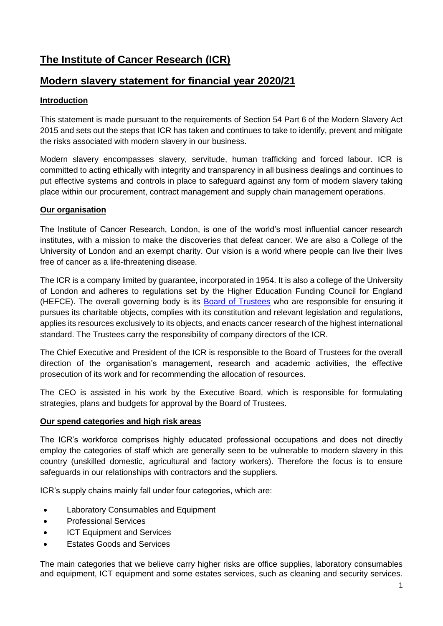# **The Institute of Cancer Research (ICR)**

## **Modern slavery statement for financial year 2020/21**

## **Introduction**

This statement is made pursuant to the requirements of Section 54 Part 6 of the Modern Slavery Act 2015 and sets out the steps that ICR has taken and continues to take to identify, prevent and mitigate the risks associated with modern slavery in our business.

Modern slavery encompasses slavery, servitude, human trafficking and forced labour. ICR is committed to acting ethically with integrity and transparency in all business dealings and continues to put effective systems and controls in place to safeguard against any form of modern slavery taking place within our procurement, contract management and supply chain management operations.

## **Our organisation**

The Institute of Cancer Research, London, is one of the world's most influential cancer research institutes, with a mission to make the discoveries that defeat cancer. We are also a College of the University of London and an exempt charity. Our vision is a world where people can live their lives free of cancer as a life-threatening disease.

The ICR is a company limited by guarantee, incorporated in 1954. It is also a college of the University of London and adheres to regulations set by the Higher Education Funding Council for England (HEFCE). The overall governing body is its [Board of Trustees](http://www.icr.ac.uk/about-us/how-we-are-structured/board-of-trustees) who are responsible for ensuring it pursues its charitable objects, complies with its constitution and relevant legislation and regulations, applies its resources exclusively to its objects, and enacts cancer research of the highest international standard. The Trustees carry the responsibility of company directors of the ICR.

The Chief Executive and President of the ICR is responsible to the Board of Trustees for the overall direction of the organisation's management, research and academic activities, the effective prosecution of its work and for recommending the allocation of resources.

The CEO is assisted in his work by the Executive Board, which is responsible for formulating strategies, plans and budgets for approval by the Board of Trustees.

## **Our spend categories and high risk areas**

The ICR's workforce comprises highly educated professional occupations and does not directly employ the categories of staff which are generally seen to be vulnerable to modern slavery in this country (unskilled domestic, agricultural and factory workers). Therefore the focus is to ensure safeguards in our relationships with contractors and the suppliers.

ICR's supply chains mainly fall under four categories, which are:

- Laboratory Consumables and Equipment
- **•** Professional Services
- ICT Equipment and Services
- Estates Goods and Services

The main categories that we believe carry higher risks are office supplies, laboratory consumables and equipment, ICT equipment and some estates services, such as cleaning and security services.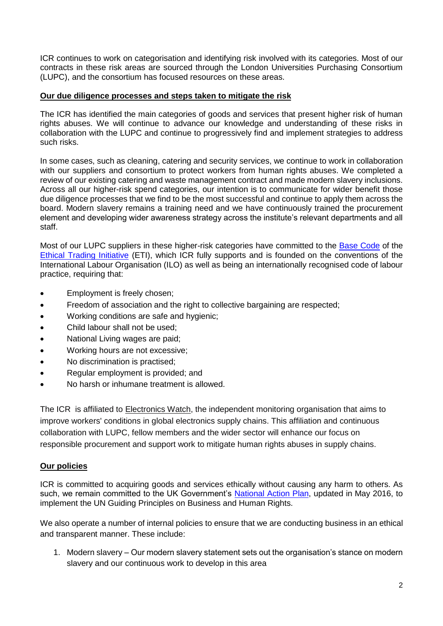ICR continues to work on categorisation and identifying risk involved with its categories. Most of our contracts in these risk areas are sourced through the London Universities Purchasing Consortium (LUPC), and the consortium has focused resources on these areas.

#### **Our due diligence processes and steps taken to mitigate the risk**

The ICR has identified the main categories of goods and services that present higher risk of human rights abuses. We will continue to advance our knowledge and understanding of these risks in collaboration with the LUPC and continue to progressively find and implement strategies to address such risks.

In some cases, such as cleaning, catering and security services, we continue to work in collaboration with our suppliers and consortium to protect workers from human rights abuses. We completed a review of our existing catering and waste management contract and made modern slavery inclusions. Across all our higher-risk spend categories, our intention is to communicate for wider benefit those due diligence processes that we find to be the most successful and continue to apply them across the board. Modern slavery remains a training need and we have continuously trained the procurement element and developing wider awareness strategy across the institute's relevant departments and all staff.

Most of our LUPC suppliers in these higher-risk categories have committed to the [Base Code](https://www.ethicaltrade.org/eti-base-code) of the [Ethical Trading Initiative](http://www.ethicaltrade.org/) (ETI), which ICR fully supports and is founded on the conventions of the International Labour Organisation (ILO) as well as being an internationally recognised code of labour practice, requiring that:

- Employment is freely chosen;
- Freedom of association and the right to collective bargaining are respected;
- Working conditions are safe and hygienic:
- Child labour shall not be used;
- National Living wages are paid;
- Working hours are not excessive;
- No discrimination is practised;
- Regular employment is provided: and
- No harsh or inhumane treatment is allowed.

The ICR is affiliated to [Electronics Watch,](http://email.adi.do/t/r-l-jytrdke-hihrtyehr-y/) the independent monitoring organisation that aims to improve workers' conditions in global electronics supply chains. This affiliation and continuous collaboration with LUPC, fellow members and the wider sector will enhance our focus on responsible procurement and support work to mitigate human rights abuses in supply chains.

#### **Our policies**

ICR is committed to acquiring goods and services ethically without causing any harm to others. As such, we remain committed to the UK Government's [National Action Plan,](https://www.gov.uk/government/uploads/system/uploads/attachment_data/file/522805/Good_Business_Implementing_the_UN_Guiding_Principles_on_Business_and_Human_Rights_updated_May_2016.pdf) updated in May 2016, to implement the UN Guiding Principles on Business and Human Rights.

We also operate a number of internal policies to ensure that we are conducting business in an ethical and transparent manner. These include:

1. Modern slavery – Our modern slavery statement sets out the organisation's stance on modern slavery and our continuous work to develop in this area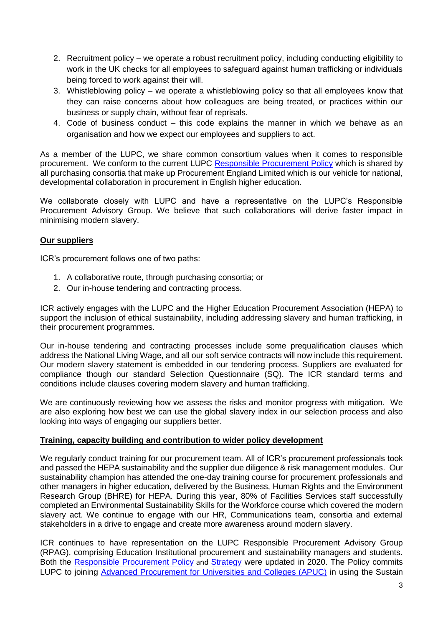- 2. Recruitment policy we operate a robust recruitment policy, including conducting eligibility to work in the UK checks for all employees to safeguard against human trafficking or individuals being forced to work against their will.
- 3. Whistleblowing policy we operate a whistleblowing policy so that all employees know that they can raise concerns about how colleagues are being treated, or practices within our business or supply chain, without fear of reprisals.
- 4. Code of business conduct this code explains the manner in which we behave as an organisation and how we expect our employees and suppliers to act.

As a member of the LUPC, we share common consortium values when it comes to responsible procurement. We conform to the current LUPC [Responsible Procurement Policy](https://www.lupc.ac.uk/sites/default/files/LUPC%20Responsible%20Procurement%20Policy%202020%20-Final%20Approved1.pdf) which is shared by all purchasing consortia that make up Procurement England Limited which is our vehicle for national, developmental collaboration in procurement in English higher education.

We collaborate closely with LUPC and have a representative on the LUPC's Responsible Procurement Advisory Group. We believe that such collaborations will derive faster impact in minimising modern slavery.

## **Our suppliers**

ICR's procurement follows one of two paths:

- 1. A collaborative route, through purchasing consortia; or
- 2. Our in-house tendering and contracting process.

ICR actively engages with the LUPC and the Higher Education Procurement Association (HEPA) to support the inclusion of ethical sustainability, including addressing slavery and human trafficking, in their procurement programmes.

Our in-house tendering and contracting processes include some prequalification clauses which address the National Living Wage, and all our soft service contracts will now include this requirement. Our modern slavery statement is embedded in our tendering process. Suppliers are evaluated for compliance though our standard Selection Questionnaire (SQ). The ICR standard terms and conditions include clauses covering modern slavery and human trafficking.

We are continuously reviewing how we assess the risks and monitor progress with mitigation. We are also exploring how best we can use the global slavery index in our selection process and also looking into ways of engaging our suppliers better.

#### **Training, capacity building and contribution to wider policy development**

We regularly conduct training for our procurement team. All of ICR's procurement professionals took and passed the HEPA sustainability and the supplier due diligence & risk management modules. Our sustainability champion has attended the one-day training course for procurement professionals and other managers in higher education, delivered by the Business, Human Rights and the Environment Research Group (BHRE) for HEPA. During this year, 80% of Facilities Services staff successfully completed an Environmental Sustainability Skills for the Workforce course which covered the modern slavery act. We continue to engage with our HR, Communications team, consortia and external stakeholders in a drive to engage and create more awareness around modern slavery.

ICR continues to have representation on the LUPC Responsible Procurement Advisory Group (RPAG), comprising Education Institutional procurement and sustainability managers and students. Both the [Responsible Procurement Policy](https://www.lupc.ac.uk/sites/default/files/LUPC%20Responsible%20Procurement%20Policy%202020%20-Final%20Approved1.pdf) and [Strategy](https://www.lupc.ac.uk/sites/default/files/LUPC%20Responsible%20Procurement%20Strategy%202020%20FINAL_0.pdf) were updated in 2020. The Policy commits LUPC to joining [Advanced Procurement for Universities and Colleges \(APUC\)](http://apuc-scot.ac.uk/) in using the Sustain